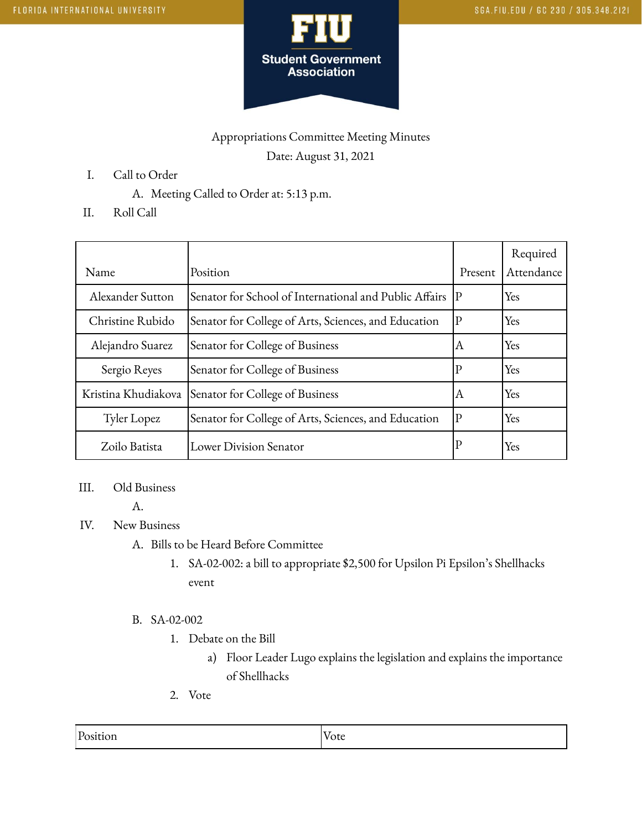

# Appropriations Committee Meeting Minutes Date: August 31, 2021

- I. Call to Order
	- A. Meeting Called to Order at: 5:13 p.m.
- II. Roll Call

| Name                | Position                                               | Present     | Required<br>Attendance |
|---------------------|--------------------------------------------------------|-------------|------------------------|
| Alexander Sutton    | Senator for School of International and Public Affairs | P           | Yes                    |
| Christine Rubido    | Senator for College of Arts, Sciences, and Education   | $\mathbf P$ | Yes                    |
| Alejandro Suarez    | Senator for College of Business                        | ΙA          | Yes                    |
| Sergio Reyes        | Senator for College of Business                        | $ {\rm P} $ | Yes                    |
| Kristina Khudiakova | Senator for College of Business                        | ΙA          | Yes                    |
| Tyler Lopez         | Senator for College of Arts, Sciences, and Education   | $ {\bf p} $ | Yes                    |
| Zoilo Batista       | Lower Division Senator                                 | $\mathbf P$ | Yes                    |

#### III. Old Business

A.

## IV. New Business

- A. Bills to be Heard Before Committee
	- 1. SA-02-002: a bill to appropriate \$2,500 for Upsilon Pi Epsilon's Shellhacks event

#### B. SA-02-002

- 1. Debate on the Bill
	- a) Floor Leader Lugo explains the legislation and explains the importance of Shellhacks
- 2. Vote

| Position | - -<br>otc |
|----------|------------|
|          |            |